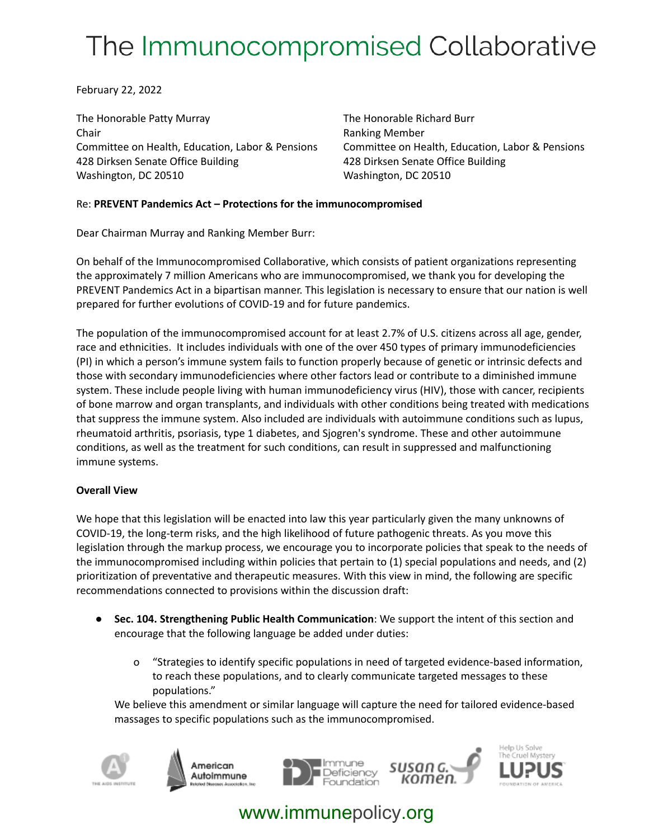# The Immunocompromised Collaborative

February 22, 2022

The Honorable Patty Murray **The Honorable Richard Burr** The Honorable Richard Burr Chair **Chair Chair Chair Chair Chair Chair Chair Chair Chair Chair Chair Chair Chair Chair Chair Chair Chair Chair Chair Chair Chair Chair Chair Chair Chair Chair Chair** Committee on Health, Education, Labor & Pensions Committee on Health, Education, Labor & Pensions 428 Dirksen Senate Office Building 428 Dirksen Senate Office Building Washington, DC 20510 Washington, DC 20510

#### Re: **PREVENT Pandemics Act – Protections for the immunocompromised**

Dear Chairman Murray and Ranking Member Burr:

On behalf of the Immunocompromised Collaborative, which consists of patient organizations representing the approximately 7 million Americans who are immunocompromised, we thank you for developing the PREVENT Pandemics Act in a bipartisan manner. This legislation is necessary to ensure that our nation is well prepared for further evolutions of COVID-19 and for future pandemics.

The population of the immunocompromised account for at least 2.7% of U.S. citizens across all age, gender, race and ethnicities. It includes individuals with one of the over 450 types of primary immunodeficiencies (PI) in which a person's immune system fails to function properly because of genetic or intrinsic defects and those with secondary immunodeficiencies where other factors lead or contribute to a diminished immune system. These include people living with human immunodeficiency virus (HIV), those with cancer, recipients of bone marrow and organ transplants, and individuals with other conditions being treated with medications that suppress the immune system. Also included are individuals with autoimmune conditions such as lupus, rheumatoid arthritis, psoriasis, type 1 diabetes, and Sjogren's syndrome. These and other autoimmune conditions, as well as the treatment for such conditions, can result in suppressed and malfunctioning immune systems.

#### **Overall View**

We hope that this legislation will be enacted into law this year particularly given the many unknowns of COVID-19, the long-term risks, and the high likelihood of future pathogenic threats. As you move this legislation through the markup process, we encourage you to incorporate policies that speak to the needs of the immunocompromised including within policies that pertain to (1) special populations and needs, and (2) prioritization of preventative and therapeutic measures. With this view in mind, the following are specific recommendations connected to provisions within the discussion draft:

- **Sec. 104. Strengthening Public Health Communication**: We support the intent of this section and encourage that the following language be added under duties:
	- o "Strategies to identify specific populations in need of targeted evidence-based information, to reach these populations, and to clearly communicate targeted messages to these populations."

We believe this amendment or similar language will capture the need for tailored evidence-based massages to specific populations such as the immunocompromised.









## www.immunepolicy.org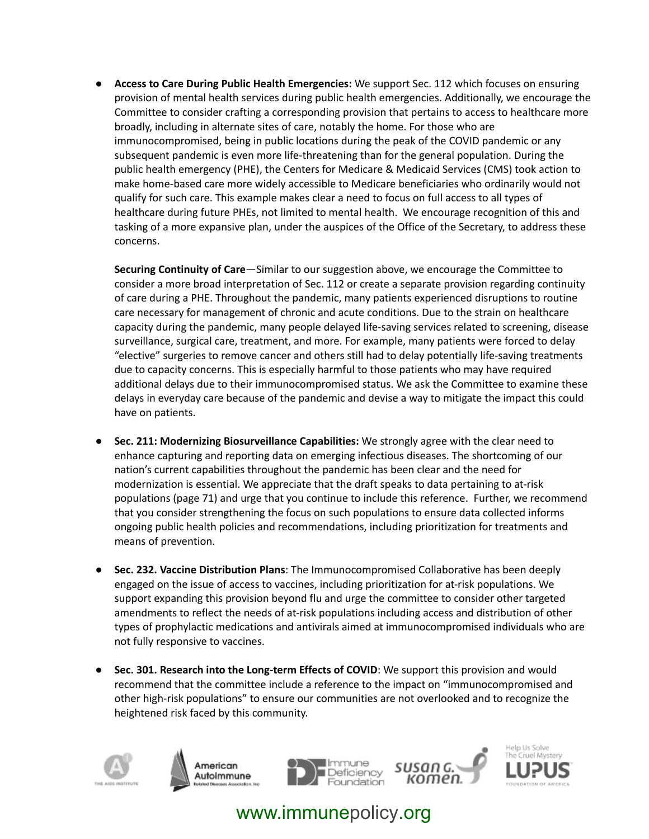● **Access to Care During Public Health Emergencies:** We support Sec. 112 which focuses on ensuring provision of mental health services during public health emergencies. Additionally, we encourage the Committee to consider crafting a corresponding provision that pertains to access to healthcare more broadly, including in alternate sites of care, notably the home. For those who are immunocompromised, being in public locations during the peak of the COVID pandemic or any subsequent pandemic is even more life-threatening than for the general population. During the public health emergency (PHE), the Centers for Medicare & Medicaid Services (CMS) took action to make home-based care more widely accessible to Medicare beneficiaries who ordinarily would not qualify for such care. This example makes clear a need to focus on full access to all types of healthcare during future PHEs, not limited to mental health. We encourage recognition of this and tasking of a more expansive plan, under the auspices of the Office of the Secretary, to address these concerns.

**Securing Continuity of Care**—Similar to our suggestion above, we encourage the Committee to consider a more broad interpretation of Sec. 112 or create a separate provision regarding continuity of care during a PHE. Throughout the pandemic, many patients experienced disruptions to routine care necessary for management of chronic and acute conditions. Due to the strain on healthcare capacity during the pandemic, many people delayed life-saving services related to screening, disease surveillance, surgical care, treatment, and more. For example, many patients were forced to delay "elective" surgeries to remove cancer and others still had to delay potentially life-saving treatments due to capacity concerns. This is especially harmful to those patients who may have required additional delays due to their immunocompromised status. We ask the Committee to examine these delays in everyday care because of the pandemic and devise a way to mitigate the impact this could have on patients.

- **Sec. 211: Modernizing Biosurveillance Capabilities:** We strongly agree with the clear need to enhance capturing and reporting data on emerging infectious diseases. The shortcoming of our nation's current capabilities throughout the pandemic has been clear and the need for modernization is essential. We appreciate that the draft speaks to data pertaining to at-risk populations (page 71) and urge that you continue to include this reference. Further, we recommend that you consider strengthening the focus on such populations to ensure data collected informs ongoing public health policies and recommendations, including prioritization for treatments and means of prevention.
- **Sec. 232. Vaccine Distribution Plans**: The Immunocompromised Collaborative has been deeply engaged on the issue of access to vaccines, including prioritization for at-risk populations. We support expanding this provision beyond flu and urge the committee to consider other targeted amendments to reflect the needs of at-risk populations including access and distribution of other types of prophylactic medications and antivirals aimed at immunocompromised individuals who are not fully responsive to vaccines.
- **Sec. 301. Research into the Long-term Effects of COVID**: We support this provision and would recommend that the committee include a reference to the impact on "immunocompromised and other high-risk populations" to ensure our communities are not overlooked and to recognize the heightened risk faced by this community.



American Autoimmune





## www.immunepolicy.org